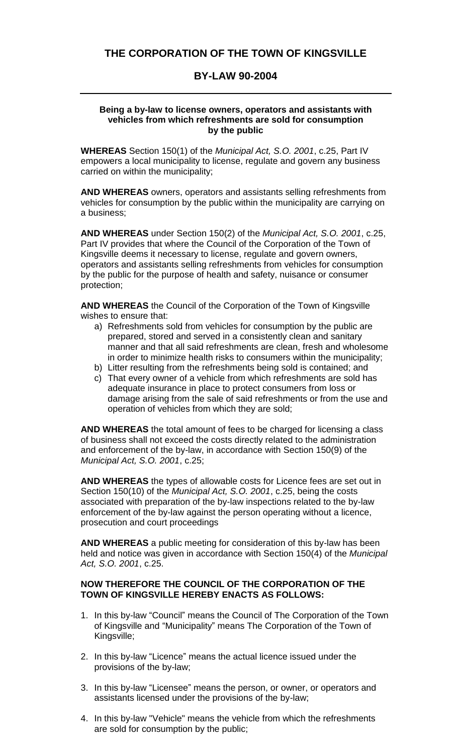## **THE CORPORATION OF THE TOWN OF KINGSVILLE**

## **BY-LAW 90-2004**

## **Being a by-law to license owners, operators and assistants with vehicles from which refreshments are sold for consumption by the public**

**WHEREAS** Section 150(1) of the *Municipal Act, S.O. 2001*, c.25, Part IV empowers a local municipality to license, regulate and govern any business carried on within the municipality;

**AND WHEREAS** owners, operators and assistants selling refreshments from vehicles for consumption by the public within the municipality are carrying on a business;

**AND WHEREAS** under Section 150(2) of the *Municipal Act, S.O. 2001*, c.25, Part IV provides that where the Council of the Corporation of the Town of Kingsville deems it necessary to license, regulate and govern owners, operators and assistants selling refreshments from vehicles for consumption by the public for the purpose of health and safety, nuisance or consumer protection;

**AND WHEREAS** the Council of the Corporation of the Town of Kingsville wishes to ensure that:

- a) Refreshments sold from vehicles for consumption by the public are prepared, stored and served in a consistently clean and sanitary manner and that all said refreshments are clean, fresh and wholesome in order to minimize health risks to consumers within the municipality;
- b) Litter resulting from the refreshments being sold is contained; and
- c) That every owner of a vehicle from which refreshments are sold has adequate insurance in place to protect consumers from loss or damage arising from the sale of said refreshments or from the use and operation of vehicles from which they are sold;

**AND WHEREAS** the total amount of fees to be charged for licensing a class of business shall not exceed the costs directly related to the administration and enforcement of the by-law, in accordance with Section 150(9) of the *Municipal Act, S.O. 2001*, c.25;

**AND WHEREAS** the types of allowable costs for Licence fees are set out in Section 150(10) of the *Municipal Act, S.O. 2001*, c.25, being the costs associated with preparation of the by-law inspections related to the by-law enforcement of the by-law against the person operating without a licence, prosecution and court proceedings

**AND WHEREAS** a public meeting for consideration of this by-law has been held and notice was given in accordance with Section 150(4) of the *Municipal Act, S.O. 2001*, c.25.

## **NOW THEREFORE THE COUNCIL OF THE CORPORATION OF THE TOWN OF KINGSVILLE HEREBY ENACTS AS FOLLOWS:**

- 1. In this by-law "Council" means the Council of The Corporation of the Town of Kingsville and "Municipality" means The Corporation of the Town of Kingsville;
- 2. In this by-law "Licence" means the actual licence issued under the provisions of the by-law;
- 3. In this by-law "Licensee" means the person, or owner, or operators and assistants licensed under the provisions of the by-law;
- 4. In this by-law "Vehicle" means the vehicle from which the refreshments are sold for consumption by the public;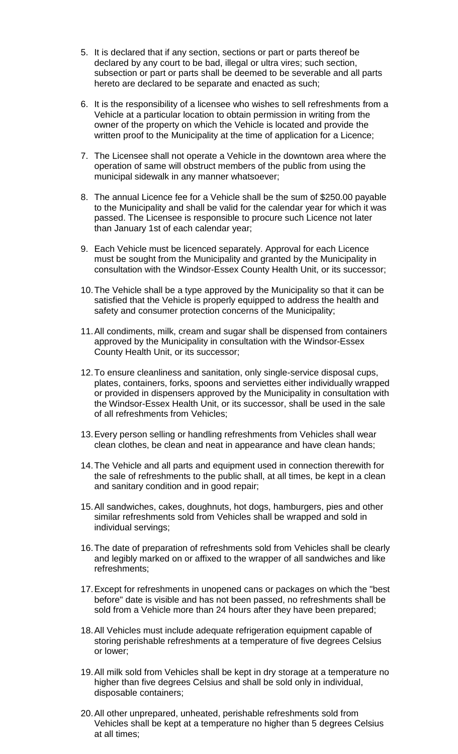- 5. It is declared that if any section, sections or part or parts thereof be declared by any court to be bad, illegal or ultra vires; such section, subsection or part or parts shall be deemed to be severable and all parts hereto are declared to be separate and enacted as such;
- 6. It is the responsibility of a licensee who wishes to sell refreshments from a Vehicle at a particular location to obtain permission in writing from the owner of the property on which the Vehicle is located and provide the written proof to the Municipality at the time of application for a Licence;
- 7. The Licensee shall not operate a Vehicle in the downtown area where the operation of same will obstruct members of the public from using the municipal sidewalk in any manner whatsoever;
- 8. The annual Licence fee for a Vehicle shall be the sum of \$250.00 payable to the Municipality and shall be valid for the calendar year for which it was passed. The Licensee is responsible to procure such Licence not later than January 1st of each calendar year;
- 9. Each Vehicle must be licenced separately. Approval for each Licence must be sought from the Municipality and granted by the Municipality in consultation with the Windsor-Essex County Health Unit, or its successor;
- 10.The Vehicle shall be a type approved by the Municipality so that it can be satisfied that the Vehicle is properly equipped to address the health and safety and consumer protection concerns of the Municipality;
- 11.All condiments, milk, cream and sugar shall be dispensed from containers approved by the Municipality in consultation with the Windsor-Essex County Health Unit, or its successor;
- 12.To ensure cleanliness and sanitation, only single-service disposal cups, plates, containers, forks, spoons and serviettes either individually wrapped or provided in dispensers approved by the Municipality in consultation with the Windsor-Essex Health Unit, or its successor, shall be used in the sale of all refreshments from Vehicles;
- 13.Every person selling or handling refreshments from Vehicles shall wear clean clothes, be clean and neat in appearance and have clean hands;
- 14.The Vehicle and all parts and equipment used in connection therewith for the sale of refreshments to the public shall, at all times, be kept in a clean and sanitary condition and in good repair;
- 15.All sandwiches, cakes, doughnuts, hot dogs, hamburgers, pies and other similar refreshments sold from Vehicles shall be wrapped and sold in individual servings;
- 16.The date of preparation of refreshments sold from Vehicles shall be clearly and legibly marked on or affixed to the wrapper of all sandwiches and like refreshments;
- 17.Except for refreshments in unopened cans or packages on which the "best before" date is visible and has not been passed, no refreshments shall be sold from a Vehicle more than 24 hours after they have been prepared;
- 18.All Vehicles must include adequate refrigeration equipment capable of storing perishable refreshments at a temperature of five degrees Celsius or lower;
- 19.All milk sold from Vehicles shall be kept in dry storage at a temperature no higher than five degrees Celsius and shall be sold only in individual, disposable containers;
- 20.All other unprepared, unheated, perishable refreshments sold from Vehicles shall be kept at a temperature no higher than 5 degrees Celsius at all times;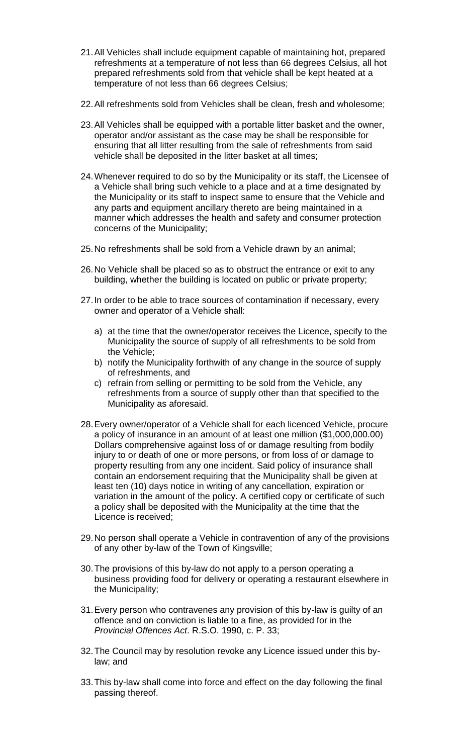- 21.All Vehicles shall include equipment capable of maintaining hot, prepared refreshments at a temperature of not less than 66 degrees Celsius, all hot prepared refreshments sold from that vehicle shall be kept heated at a temperature of not less than 66 degrees Celsius;
- 22.All refreshments sold from Vehicles shall be clean, fresh and wholesome;
- 23.All Vehicles shall be equipped with a portable litter basket and the owner, operator and/or assistant as the case may be shall be responsible for ensuring that all litter resulting from the sale of refreshments from said vehicle shall be deposited in the litter basket at all times;
- 24.Whenever required to do so by the Municipality or its staff, the Licensee of a Vehicle shall bring such vehicle to a place and at a time designated by the Municipality or its staff to inspect same to ensure that the Vehicle and any parts and equipment ancillary thereto are being maintained in a manner which addresses the health and safety and consumer protection concerns of the Municipality;
- 25.No refreshments shall be sold from a Vehicle drawn by an animal;
- 26.No Vehicle shall be placed so as to obstruct the entrance or exit to any building, whether the building is located on public or private property;
- 27.In order to be able to trace sources of contamination if necessary, every owner and operator of a Vehicle shall:
	- a) at the time that the owner/operator receives the Licence, specify to the Municipality the source of supply of all refreshments to be sold from the Vehicle;
	- b) notify the Municipality forthwith of any change in the source of supply of refreshments, and
	- c) refrain from selling or permitting to be sold from the Vehicle, any refreshments from a source of supply other than that specified to the Municipality as aforesaid.
- 28.Every owner/operator of a Vehicle shall for each licenced Vehicle, procure a policy of insurance in an amount of at least one million (\$1,000,000.00) Dollars comprehensive against loss of or damage resulting from bodily injury to or death of one or more persons, or from loss of or damage to property resulting from any one incident. Said policy of insurance shall contain an endorsement requiring that the Municipality shall be given at least ten (10) days notice in writing of any cancellation, expiration or variation in the amount of the policy. A certified copy or certificate of such a policy shall be deposited with the Municipality at the time that the Licence is received;
- 29.No person shall operate a Vehicle in contravention of any of the provisions of any other by-law of the Town of Kingsville;
- 30.The provisions of this by-law do not apply to a person operating a business providing food for delivery or operating a restaurant elsewhere in the Municipality;
- 31.Every person who contravenes any provision of this by-law is guilty of an offence and on conviction is liable to a fine, as provided for in the *Provincial Offences Act*. R.S.O. 1990, c. P. 33;
- 32.The Council may by resolution revoke any Licence issued under this bylaw; and
- 33.This by-law shall come into force and effect on the day following the final passing thereof.